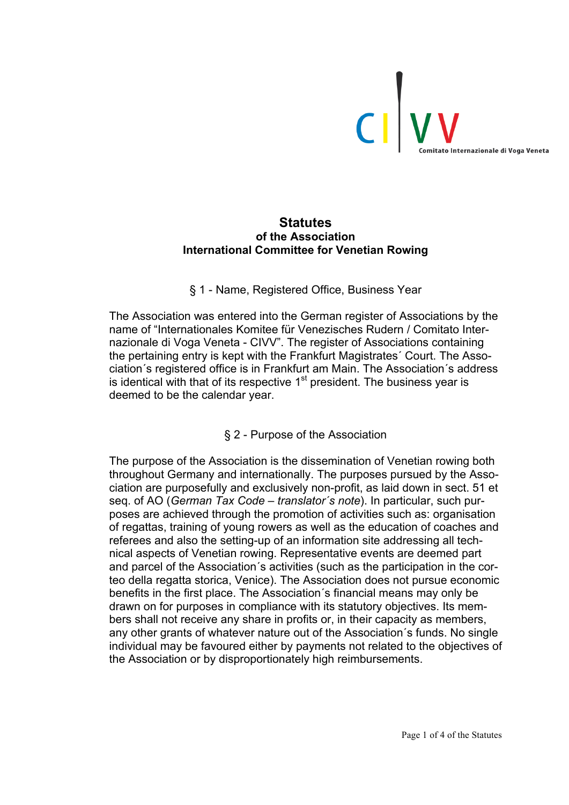

## **Statutes of the Association International Committee for Venetian Rowing**

## § 1 - Name, Registered Office, Business Year

The Association was entered into the German register of Associations by the name of "Internationales Komitee für Venezisches Rudern / Comitato Internazionale di Voga Veneta - CIVV". The register of Associations containing the pertaining entry is kept with the Frankfurt Magistrates´ Court. The Association´s registered office is in Frankfurt am Main. The Association´s address is identical with that of its respective  $1<sup>st</sup>$  president. The business year is deemed to be the calendar year.

# § 2 - Purpose of the Association

The purpose of the Association is the dissemination of Venetian rowing both throughout Germany and internationally. The purposes pursued by the Association are purposefully and exclusively non-profit, as laid down in sect. 51 et seq. of AO (*German Tax Code – translator´s note*). In particular, such purposes are achieved through the promotion of activities such as: organisation of regattas, training of young rowers as well as the education of coaches and referees and also the setting-up of an information site addressing all technical aspects of Venetian rowing. Representative events are deemed part and parcel of the Association´s activities (such as the participation in the corteo della regatta storica, Venice). The Association does not pursue economic benefits in the first place. The Association´s financial means may only be drawn on for purposes in compliance with its statutory objectives. Its members shall not receive any share in profits or, in their capacity as members, any other grants of whatever nature out of the Association´s funds. No single individual may be favoured either by payments not related to the objectives of the Association or by disproportionately high reimbursements.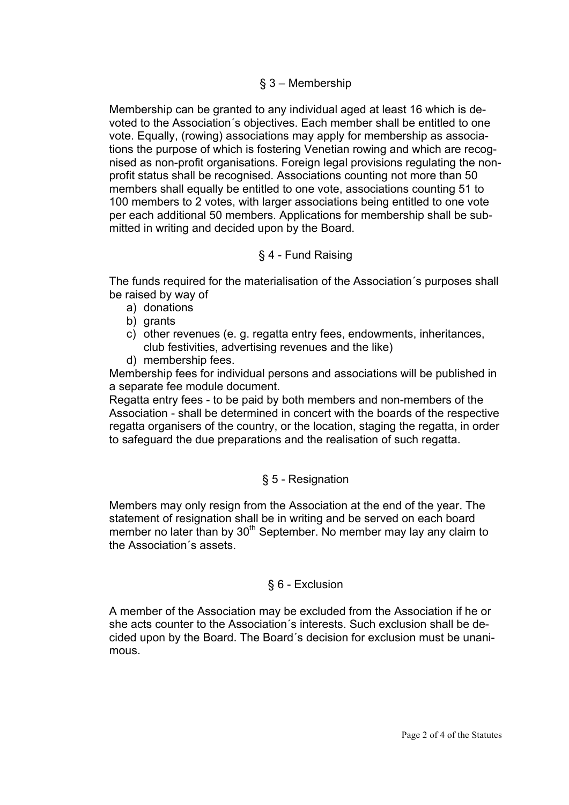## § 3 – Membership

Membership can be granted to any individual aged at least 16 which is devoted to the Association´s objectives. Each member shall be entitled to one vote. Equally, (rowing) associations may apply for membership as associations the purpose of which is fostering Venetian rowing and which are recognised as non-profit organisations. Foreign legal provisions regulating the nonprofit status shall be recognised. Associations counting not more than 50 members shall equally be entitled to one vote, associations counting 51 to 100 members to 2 votes, with larger associations being entitled to one vote per each additional 50 members. Applications for membership shall be submitted in writing and decided upon by the Board.

## § 4 - Fund Raising

The funds required for the materialisation of the Association´s purposes shall be raised by way of

- a) donations
- b) grants
- c) other revenues (e. g. regatta entry fees, endowments, inheritances, club festivities, advertising revenues and the like)
- d) membership fees.

Membership fees for individual persons and associations will be published in a separate fee module document.

Regatta entry fees - to be paid by both members and non-members of the Association - shall be determined in concert with the boards of the respective regatta organisers of the country, or the location, staging the regatta, in order to safeguard the due preparations and the realisation of such regatta.

# § 5 - Resignation

Members may only resign from the Association at the end of the year. The statement of resignation shall be in writing and be served on each board member no later than by 30<sup>th</sup> September. No member may lay any claim to the Association´s assets.

## § 6 - Exclusion

A member of the Association may be excluded from the Association if he or she acts counter to the Association´s interests. Such exclusion shall be decided upon by the Board. The Board´s decision for exclusion must be unanimous.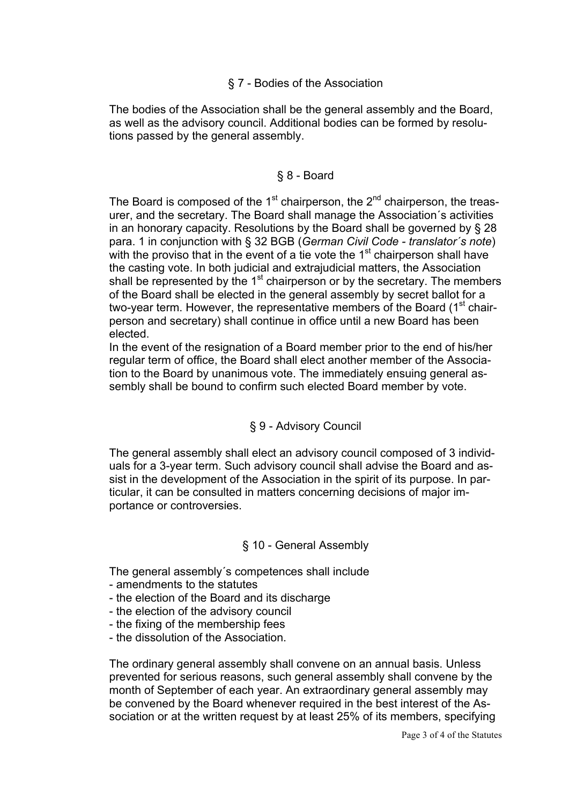## § 7 - Bodies of the Association

The bodies of the Association shall be the general assembly and the Board, as well as the advisory council. Additional bodies can be formed by resolutions passed by the general assembly.

## § 8 - Board

The Board is composed of the  $1<sup>st</sup>$  chairperson, the  $2<sup>nd</sup>$  chairperson, the treasurer, and the secretary. The Board shall manage the Association´s activities in an honorary capacity. Resolutions by the Board shall be governed by § 28 para. 1 in conjunction with § 32 BGB (*German Civil Code - translator´s note*) with the proviso that in the event of a tie vote the 1<sup>st</sup> chairperson shall have the casting vote. In both judicial and extrajudicial matters, the Association shall be represented by the 1<sup>st</sup> chairperson or by the secretary. The members of the Board shall be elected in the general assembly by secret ballot for a two-year term. However, the representative members of the Board (1<sup>st</sup> chairperson and secretary) shall continue in office until a new Board has been elected.

In the event of the resignation of a Board member prior to the end of his/her regular term of office, the Board shall elect another member of the Association to the Board by unanimous vote. The immediately ensuing general assembly shall be bound to confirm such elected Board member by vote.

# § 9 - Advisory Council

The general assembly shall elect an advisory council composed of 3 individuals for a 3-year term. Such advisory council shall advise the Board and assist in the development of the Association in the spirit of its purpose. In particular, it can be consulted in matters concerning decisions of major importance or controversies.

## § 10 - General Assembly

The general assembly´s competences shall include

- amendments to the statutes
- the election of the Board and its discharge
- the election of the advisory council
- the fixing of the membership fees
- the dissolution of the Association.

The ordinary general assembly shall convene on an annual basis. Unless prevented for serious reasons, such general assembly shall convene by the month of September of each year. An extraordinary general assembly may be convened by the Board whenever required in the best interest of the Association or at the written request by at least 25% of its members, specifying